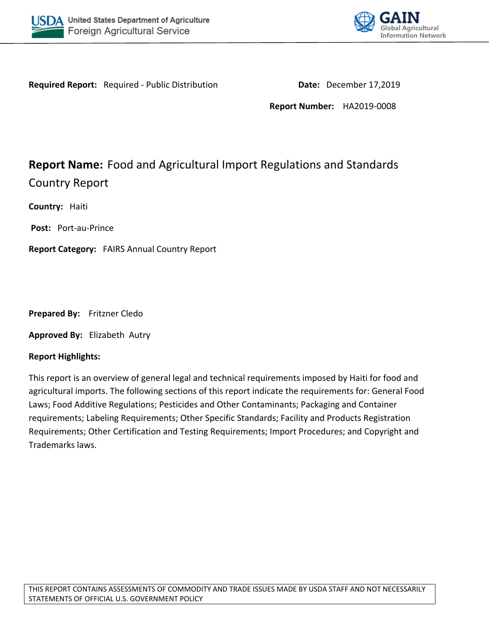



Required Report: Required - Public Distribution **Date: December 17,2019** 

**Report Number:** HA2019-0008

# **Report Name:** Food and Agricultural Import Regulations and Standards Country Report

**Country:** Haiti

**Post:** Port-au-Prince

**Report Category:** FAIRS Annual Country Report

**Prepared By:** Fritzner Cledo

**Approved By:** Elizabeth Autry

#### **Report Highlights:**

This report is an overview of general legal and technical requirements imposed by Haiti for food and agricultural imports. The following sections of this report indicate the requirements for: General Food Laws; Food Additive Regulations; Pesticides and Other Contaminants; Packaging and Container requirements; Labeling Requirements; Other Specific Standards; Facility and Products Registration Requirements; Other Certification and Testing Requirements; Import Procedures; and Copyright and Trademarks laws.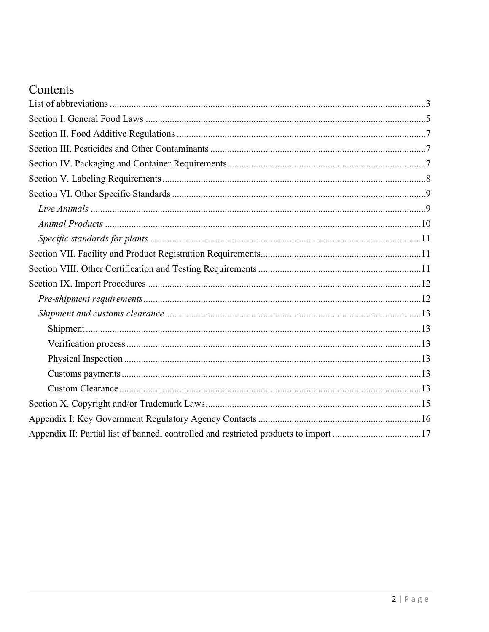# Contents

| Appendix II: Partial list of banned, controlled and restricted products to import 17 |
|--------------------------------------------------------------------------------------|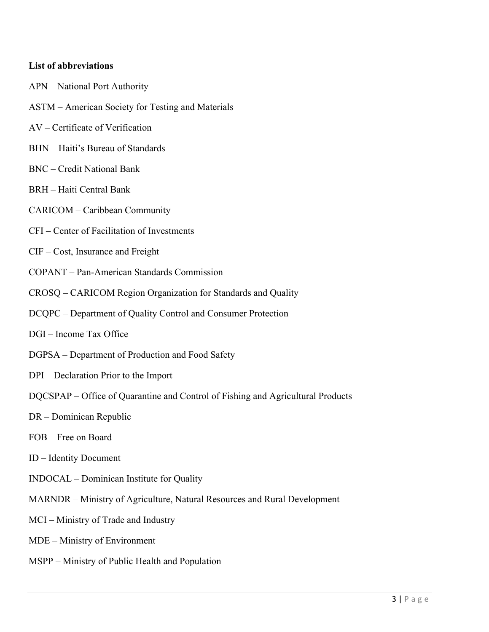#### <span id="page-2-0"></span>**List of abbreviations**

- APN National Port Authority ASTM – American Society for Testing and Materials AV – Certificate of Verification
- 
- BHN Haiti's Bureau of Standards
- BNC Credit National Bank
- BRH Haiti Central Bank
- CARICOM Caribbean Community
- CFI Center of Facilitation of Investments
- CIF Cost, Insurance and Freight
- COPANT Pan-American Standards Commission
- CROSQ CARICOM Region Organization for Standards and Quality
- DCQPC Department of Quality Control and Consumer Protection
- DGI Income Tax Office
- DGPSA Department of Production and Food Safety
- DPI Declaration Prior to the Import
- DQCSPAP Office of Quarantine and Control of Fishing and Agricultural Products
- DR Dominican Republic
- FOB Free on Board
- ID Identity Document
- INDOCAL Dominican Institute for Quality
- MARNDR Ministry of Agriculture, Natural Resources and Rural Development
- MCI Ministry of Trade and Industry
- MDE Ministry of Environment
- MSPP Ministry of Public Health and Population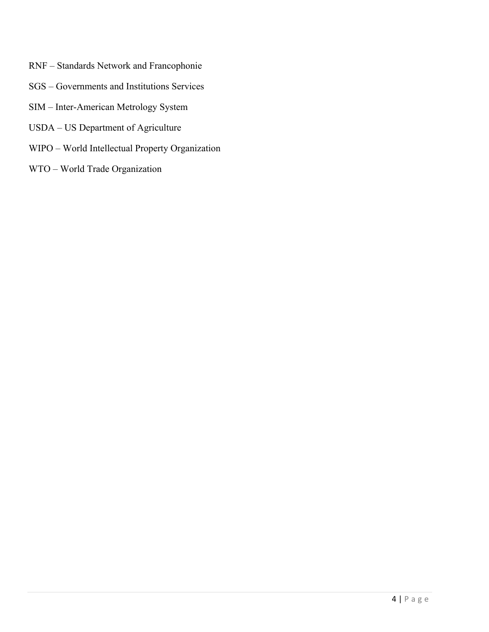- RNF Standards Network and Francophonie
- SGS Governments and Institutions Services
- SIM Inter-American Metrology System
- USDA US Department of Agriculture
- WIPO World Intellectual Property Organization
- WTO World Trade Organization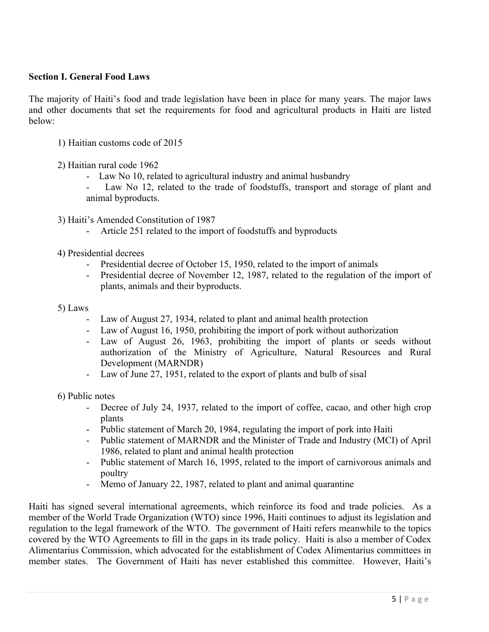#### <span id="page-4-0"></span>**Section I. General Food Laws**

The majority of Haiti's food and trade legislation have been in place for many years. The major laws and other documents that set the requirements for food and agricultural products in Haiti are listed below:

- 1) Haitian customs code of 2015
- 2) Haitian rural code 1962
	- Law No 10, related to agricultural industry and animal husbandry
	- Law No 12, related to the trade of foodstuffs, transport and storage of plant and animal byproducts.
- 3) Haiti's Amended Constitution of 1987
	- Article 251 related to the import of foodstuffs and byproducts
- 4) Presidential decrees
	- Presidential decree of October 15, 1950, related to the import of animals
	- Presidential decree of November 12, 1987, related to the regulation of the import of plants, animals and their byproducts.

#### 5) Laws

- Law of August 27, 1934, related to plant and animal health protection
- Law of August 16, 1950, prohibiting the import of pork without authorization
- Law of August 26, 1963, prohibiting the import of plants or seeds without authorization of the Ministry of Agriculture, Natural Resources and Rural Development (MARNDR)
- Law of June 27, 1951, related to the export of plants and bulb of sisal

6) Public notes

- Decree of July 24, 1937, related to the import of coffee, cacao, and other high crop plants
- Public statement of March 20, 1984, regulating the import of pork into Haiti
- Public statement of MARNDR and the Minister of Trade and Industry (MCI) of April 1986, related to plant and animal health protection
- Public statement of March 16, 1995, related to the import of carnivorous animals and poultry
- Memo of January 22, 1987, related to plant and animal quarantine

Haiti has signed several international agreements, which reinforce its food and trade policies. As a member of the World Trade Organization (WTO) since 1996, Haiti continues to adjust its legislation and regulation to the legal framework of the WTO. The government of Haiti refers meanwhile to the topics covered by the WTO Agreements to fill in the gaps in its trade policy. Haiti is also a member of Codex Alimentarius Commission, which advocated for the establishment of Codex Alimentarius committees in member states. The Government of Haiti has never established this committee. However, Haiti's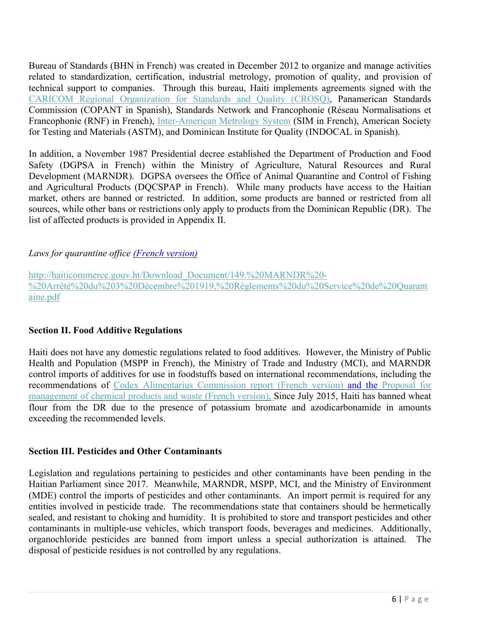Bureau of Standards (BHN in French) was created in December 2012 to organize and manage activities related to standardization, certification, industrial metrology, promotion of quality, and provision of technical support to companies. Through this bureau, Haiti implements agreements signed with the [CARICOM Regional Organization for Standards and Quality \(CROSQ\),](https://www.crosq.org/index.php/haiti) Panamerican Standards Commission (COPANT in Spanish), Standards Network and Francophonie (Réseau Normalisations et Francophonie (RNF) in French), [Inter-American Metrology System](http://www.sim-metrologia.org.br/) (SIM in French), American Society for Testing and Materials (ASTM), and Dominican Institute for Quality (INDOCAL in Spanish).

In addition, a November 1987 Presidential decree established the Department of Production and Food Safety (DGPSA in French) within the Ministry of Agriculture, Natural Resources and Rural Development (MARNDR). DGPSA oversees the Office of Animal Quarantine and Control of Fishing and Agricultural Products (DQCSPAP in French). While many products have access to the Haitian market, others are banned or restricted. In addition, some products are banned or restricted from all sources, while other bans or restrictions only apply to products from the Dominican Republic (DR). The list of affected products is provided in Appendix II.

#### *Laws for quarantine office (French version)*

[http://haiticommerce.gouv.ht/Download\\_Document/149.%20MARNDR%20-](http://haiticommerce.gouv.ht/Download_Document/149.%20MARNDR%20-%20Arr%C3%AAt%C3%A9%20du%203%20D%C3%A9cembre%201919,%20R%C3%A8glements%20du%20Service%20de%20Quarantaine.pdf) [%20Arrêté%20du%203%20Décembre%201919,%20Règlements%20du%20Service%20de%20Quarant](http://haiticommerce.gouv.ht/Download_Document/149.%20MARNDR%20-%20Arr%C3%AAt%C3%A9%20du%203%20D%C3%A9cembre%201919,%20R%C3%A8glements%20du%20Service%20de%20Quarantaine.pdf) [aine.pdf](http://haiticommerce.gouv.ht/Download_Document/149.%20MARNDR%20-%20Arr%C3%AAt%C3%A9%20du%203%20D%C3%A9cembre%201919,%20R%C3%A8glements%20du%20Service%20de%20Quarantaine.pdf)

#### <span id="page-5-0"></span>**Section II. Food Additive Regulations**

Haiti does not have any domestic regulations related to food additives. However, the Ministry of Public Health and Population (MSPP in French), the Ministry of Trade and Industry (MCI), and MARNDR control imports of additives for use in foodstuffs based on international recommendations, including the recommendations of [Codex Alimentarius Commission report \(French version\)](http://www.fao.org/docrep/pdf/010/a1350f/a1350f00.pdf) and the [Proposal for](http://cwm.unitar.org/national-profiles/publications/cw/np/np_pdf/Haiti_National_Profile_2008.pdf)  [management of chemical products and waste \(French version\).](http://cwm.unitar.org/national-profiles/publications/cw/np/np_pdf/Haiti_National_Profile_2008.pdf) Since July 2015, Haiti has banned wheat flour from the DR due to the presence of potassium bromate and azodicarbonamide in amounts exceeding the recommended levels.

#### <span id="page-5-1"></span>**Section III. Pesticides and Other Contaminants**

Legislation and regulations pertaining to pesticides and other contaminants have been pending in the Haitian Parliament since 2017. Meanwhile, MARNDR, MSPP, MCI, and the Ministry of Environment (MDE) control the imports of pesticides and other contaminants. An import permit is required for any entities involved in pesticide trade. The recommendations state that containers should be hermetically sealed, and resistant to choking and humidity. It is prohibited to store and transport pesticides and other contaminants in multiple-use vehicles, which transport foods, beverages and medicines. Additionally, organochloride pesticides are banned from import unless a special authorization is attained. The disposal of pesticide residues is not controlled by any regulations.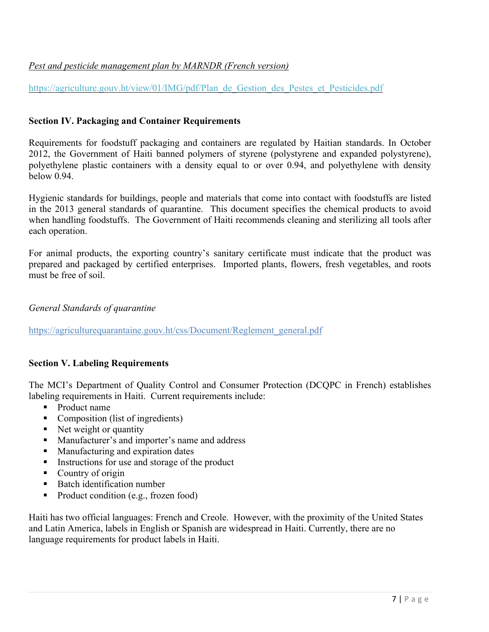## *Pest and pesticide management plan by MARNDR (French version)*

[https://agriculture.gouv.ht/view/01/IMG/pdf/Plan\\_de\\_Gestion\\_des\\_Pestes\\_et\\_Pesticides.pdf](https://agriculture.gouv.ht/view/01/IMG/pdf/Plan_de_Gestion_des_Pestes_et_Pesticides.pdf)

#### <span id="page-6-0"></span>**Section IV. Packaging and Container Requirements**

Requirements for foodstuff packaging and containers are regulated by Haitian standards. In October 2012, the Government of Haiti banned polymers of styrene (polystyrene and expanded polystyrene), polyethylene plastic containers with a density equal to or over 0.94, and polyethylene with density below 0.94.

Hygienic standards for buildings, people and materials that come into contact with foodstuffs are listed in the 2013 general standards of quarantine. This document specifies the chemical products to avoid when handling foodstuffs. The Government of Haiti recommends cleaning and sterilizing all tools after each operation.

For animal products, the exporting country's sanitary certificate must indicate that the product was prepared and packaged by certified enterprises. Imported plants, flowers, fresh vegetables, and roots must be free of soil.

#### *General Standards of quarantine*

[https://agriculturequarantaine.gouv.ht/css/Document/Reglement\\_general.pdf](https://agriculturequarantaine.gouv.ht/css/Document/Reglement_general.pdf)

#### <span id="page-6-1"></span>**Section V. Labeling Requirements**

The MCI's Department of Quality Control and Consumer Protection (DCQPC in French) establishes labeling requirements in Haiti. Current requirements include:

- **Product name**
- $\blacksquare$  Composition (list of ingredients)
- Net weight or quantity
- Manufacturer's and importer's name and address
- Manufacturing and expiration dates
- Instructions for use and storage of the product
- Country of origin
- Batch identification number
- Product condition (e.g., frozen food)

Haiti has two official languages: French and Creole. However, with the proximity of the United States and Latin America, labels in English or Spanish are widespread in Haiti. Currently, there are no language requirements for product labels in Haiti.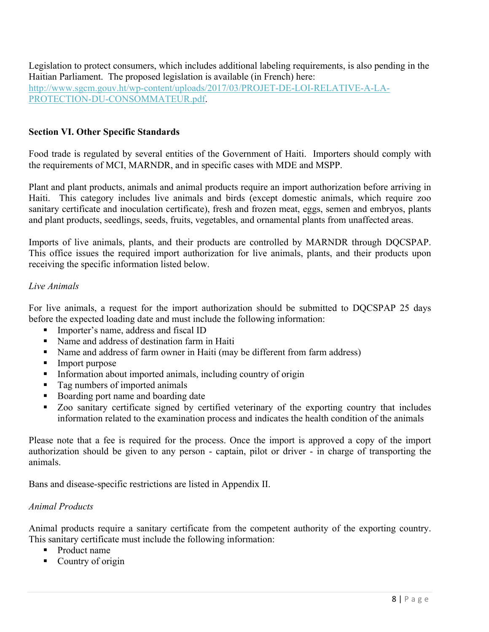Legislation to protect consumers, which includes additional labeling requirements, is also pending in the Haitian Parliament. The proposed legislation is available (in French) here: [http://www.sgcm.gouv.ht/wp-content/uploads/2017/03/PROJET-DE-LOI-RELATIVE-A-LA-](http://www.sgcm.gouv.ht/wp-content/uploads/2017/03/PROJET-DE-LOI-RELATIVE-A-LA-PROTECTION-DU-CONSOMMATEUR.pdf)[PROTECTION-DU-CONSOMMATEUR.pdf.](http://www.sgcm.gouv.ht/wp-content/uploads/2017/03/PROJET-DE-LOI-RELATIVE-A-LA-PROTECTION-DU-CONSOMMATEUR.pdf)

#### <span id="page-7-0"></span>**Section VI. Other Specific Standards**

Food trade is regulated by several entities of the Government of Haiti. Importers should comply with the requirements of MCI, MARNDR, and in specific cases with MDE and MSPP.

Plant and plant products, animals and animal products require an import authorization before arriving in Haiti. This category includes live animals and birds (except domestic animals, which require zoo sanitary certificate and inoculation certificate), fresh and frozen meat, eggs, semen and embryos, plants and plant products, seedlings, seeds, fruits, vegetables, and ornamental plants from unaffected areas.

Imports of live animals, plants, and their products are controlled by MARNDR through DQCSPAP. This office issues the required import authorization for live animals, plants, and their products upon receiving the specific information listed below.

#### <span id="page-7-1"></span>*Live Animals*

For live animals, a request for the import authorization should be submitted to DQCSPAP 25 days before the expected loading date and must include the following information:

- Importer's name, address and fiscal ID
- Name and address of destination farm in Haiti
- Name and address of farm owner in Haiti (may be different from farm address)
- Import purpose
- **Information about imported animals, including country of origin**
- Tag numbers of imported animals
- Boarding port name and boarding date
- Zoo sanitary certificate signed by certified veterinary of the exporting country that includes information related to the examination process and indicates the health condition of the animals

Please note that a fee is required for the process. Once the import is approved a copy of the import authorization should be given to any person - captain, pilot or driver - in charge of transporting the animals.

Bans and disease-specific restrictions are listed in Appendix II.

#### <span id="page-7-2"></span>*Animal Products*

Animal products require a sanitary certificate from the competent authority of the exporting country. This sanitary certificate must include the following information:

- **Product name**
- Country of origin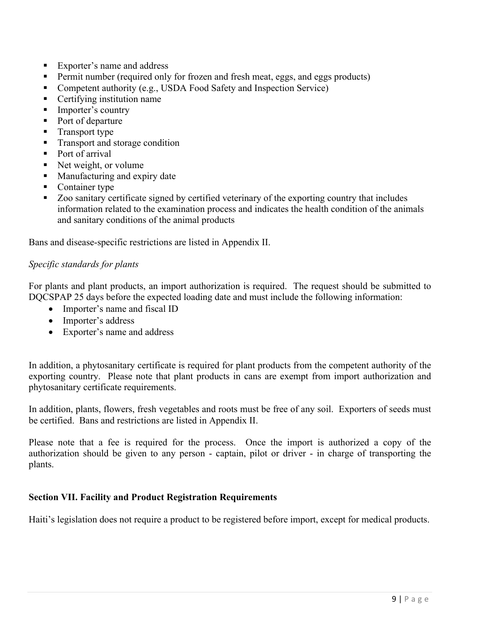- Exporter's name and address
- Permit number (required only for frozen and fresh meat, eggs, and eggs products)
- Competent authority (e.g., USDA Food Safety and Inspection Service)
- Certifying institution name
- Importer's country
- Port of departure
- Transport type
- **Transport and storage condition**
- Port of arrival
- Net weight, or volume
- **Manufacturing and expiry date**
- Container type
- Zoo sanitary certificate signed by certified veterinary of the exporting country that includes information related to the examination process and indicates the health condition of the animals and sanitary conditions of the animal products

Bans and disease-specific restrictions are listed in Appendix II.

#### <span id="page-8-0"></span>*Specific standards for plants*

For plants and plant products, an import authorization is required. The request should be submitted to DQCSPAP 25 days before the expected loading date and must include the following information:

- Importer's name and fiscal ID
- Importer's address
- Exporter's name and address

In addition, a phytosanitary certificate is required for plant products from the competent authority of the exporting country. Please note that plant products in cans are exempt from import authorization and phytosanitary certificate requirements.

In addition, plants, flowers, fresh vegetables and roots must be free of any soil. Exporters of seeds must be certified. Bans and restrictions are listed in Appendix II.

Please note that a fee is required for the process. Once the import is authorized a copy of the authorization should be given to any person - captain, pilot or driver - in charge of transporting the plants.

#### <span id="page-8-1"></span>**Section VII. Facility and Product Registration Requirements**

Haiti's legislation does not require a product to be registered before import, except for medical products.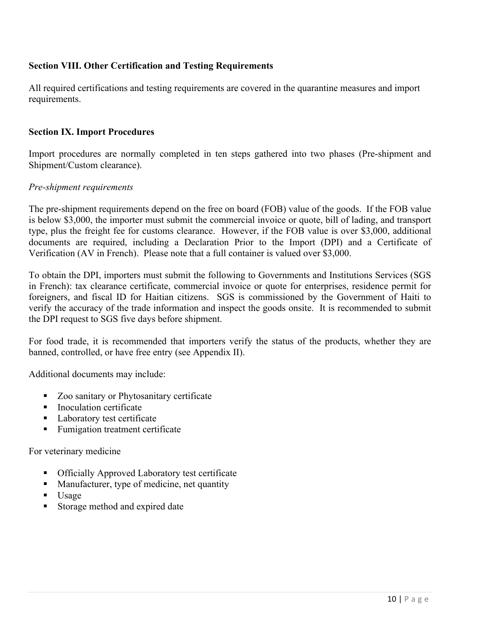## <span id="page-9-0"></span>**Section VIII. Other Certification and Testing Requirements**

All required certifications and testing requirements are covered in the quarantine measures and import requirements.

#### <span id="page-9-1"></span>**Section IX. Import Procedures**

Import procedures are normally completed in ten steps gathered into two phases (Pre-shipment and Shipment/Custom clearance).

#### <span id="page-9-2"></span>*Pre-shipment requirements*

The pre-shipment requirements depend on the free on board (FOB) value of the goods. If the FOB value is below \$3,000, the importer must submit the commercial invoice or quote, bill of lading, and transport type, plus the freight fee for customs clearance. However, if the FOB value is over \$3,000, additional documents are required, including a Declaration Prior to the Import (DPI) and a Certificate of Verification (AV in French). Please note that a full container is valued over \$3,000.

To obtain the DPI, importers must submit the following to Governments and Institutions Services (SGS in French): tax clearance certificate, commercial invoice or quote for enterprises, residence permit for foreigners, and fiscal ID for Haitian citizens. SGS is commissioned by the Government of Haiti to verify the accuracy of the trade information and inspect the goods onsite. It is recommended to submit the DPI request to SGS five days before shipment.

For food trade, it is recommended that importers verify the status of the products, whether they are banned, controlled, or have free entry (see Appendix II).

Additional documents may include:

- Zoo sanitary or Phytosanitary certificate
- Inoculation certificate
- **Laboratory test certificate**
- Fumigation treatment certificate

For veterinary medicine

- **Officially Approved Laboratory test certificate**
- **Manufacturer, type of medicine, net quantity**
- $\blacksquare$  Usage
- Storage method and expired date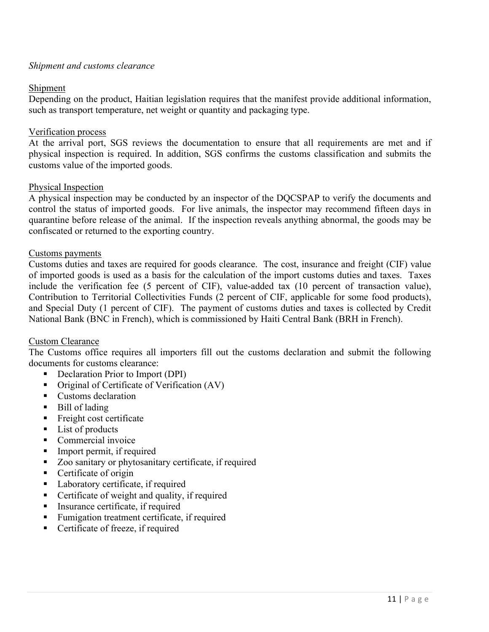#### <span id="page-10-0"></span>*Shipment and customs clearance*

#### <span id="page-10-1"></span>Shipment

Depending on the product, Haitian legislation requires that the manifest provide additional information, such as transport temperature, net weight or quantity and packaging type.

#### <span id="page-10-2"></span>Verification process

At the arrival port, SGS reviews the documentation to ensure that all requirements are met and if physical inspection is required. In addition, SGS confirms the customs classification and submits the customs value of the imported goods.

#### <span id="page-10-3"></span>Physical Inspection

A physical inspection may be conducted by an inspector of the DQCSPAP to verify the documents and control the status of imported goods. For live animals, the inspector may recommend fifteen days in quarantine before release of the animal. If the inspection reveals anything abnormal, the goods may be confiscated or returned to the exporting country.

#### <span id="page-10-4"></span>Customs payments

Customs duties and taxes are required for goods clearance. The cost, insurance and freight (CIF) value of imported goods is used as a basis for the calculation of the import customs duties and taxes. Taxes include the verification fee (5 percent of CIF), value-added tax (10 percent of transaction value), Contribution to Territorial Collectivities Funds (2 percent of CIF, applicable for some food products), and Special Duty (1 percent of CIF). The payment of customs duties and taxes is collected by Credit National Bank (BNC in French), which is commissioned by Haiti Central Bank (BRH in French).

#### <span id="page-10-5"></span>Custom Clearance

The Customs office requires all importers fill out the customs declaration and submit the following documents for customs clearance:

- Declaration Prior to Import (DPI)
- Original of Certificate of Verification (AV)
- **Customs declaration**
- Bill of lading
- $\blacksquare$  Freight cost certificate
- $\blacksquare$  List of products
- Commercial invoice
- Import permit, if required
- Zoo sanitary or phytosanitary certificate, if required
- Certificate of origin
- Laboratory certificate, if required
- Certificate of weight and quality, if required
- Insurance certificate, if required
- Fumigation treatment certificate, if required
- Certificate of freeze, if required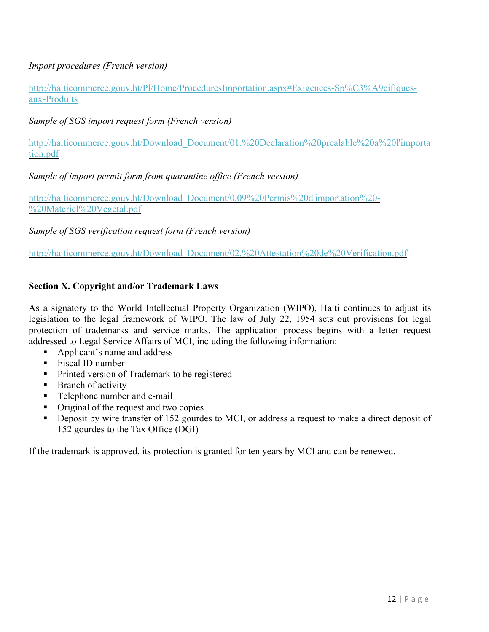## *Import procedures (French version)*

[http://haiticommerce.gouv.ht/Pl/Home/ProceduresImportation.aspx#Exigences-Sp%C3%A9cifiques](http://haiticommerce.gouv.ht/Pl/Home/ProceduresImportation.aspx#Exigences-Sp%C3%A9cifiques-aux-Produits)[aux-Produits](http://haiticommerce.gouv.ht/Pl/Home/ProceduresImportation.aspx#Exigences-Sp%C3%A9cifiques-aux-Produits)

*Sample of SGS import request form (French version)*

[http://haiticommerce.gouv.ht/Download\\_Document/01.%20Declaration%20prealable%20a%20l'importa](http://haiticommerce.gouv.ht/Download_Document/01.%20Declaration%20prealable%20a%20l) [tion.pdf](http://haiticommerce.gouv.ht/Download_Document/01.%20Declaration%20prealable%20a%20l)

*Sample of import permit form from quarantine office (French version)*

[http://haiticommerce.gouv.ht/Download\\_Document/0.09%20Permis%20d'importation%20-](http://haiticommerce.gouv.ht/Download_Document/0.09%20Permis%20d) [%20Materiel%20Vegetal.pdf](http://haiticommerce.gouv.ht/Download_Document/0.09%20Permis%20d)

*Sample of SGS verification request form (French version)*

[http://haiticommerce.gouv.ht/Download\\_Document/02.%20Attestation%20de%20Verification.pdf](http://haiticommerce.gouv.ht/Download_Document/02.%20Attestation%20de%20Verification.pdf)

#### <span id="page-11-0"></span>**Section X. Copyright and/or Trademark Laws**

As a signatory to the World Intellectual Property Organization (WIPO), Haiti continues to adjust its legislation to the legal framework of WIPO. The law of July 22, 1954 sets out provisions for legal protection of trademarks and service marks. The application process begins with a letter request addressed to Legal Service Affairs of MCI, including the following information:

- Applicant's name and address
- Fiscal ID number
- **Printed version of Trademark to be registered**
- Branch of activity
- **Telephone number and e-mail**
- Original of the request and two copies
- **•** Deposit by wire transfer of 152 gourdes to MCI, or address a request to make a direct deposit of 152 gourdes to the Tax Office (DGI)

If the trademark is approved, its protection is granted for ten years by MCI and can be renewed.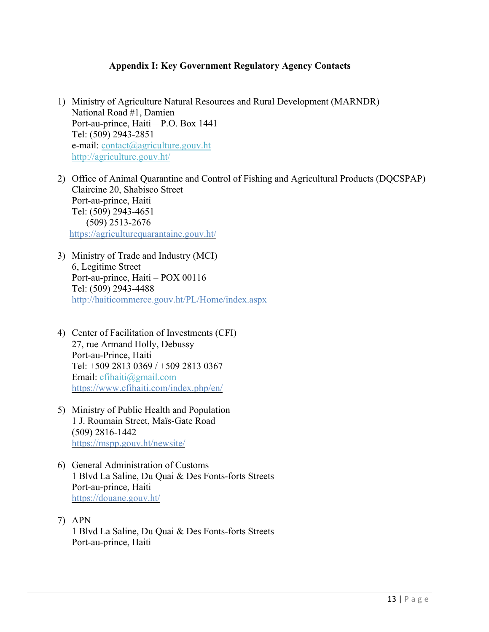#### <span id="page-12-0"></span>**Appendix I: Key Government Regulatory Agency Contacts**

- 1) Ministry of Agriculture Natural Resources and Rural Development (MARNDR) National Road #1, Damien Port-au-prince, Haiti – P.O. Box 1441 Tel: (509) 2943-2851 e-mail: [contact@agriculture.gouv.ht](mailto:contact@agriculture.gouv.ht) <http://agriculture.gouv.ht/>
- 2) Office of Animal Quarantine and Control of Fishing and Agricultural Products (DQCSPAP) Claircine 20, Shabisco Street Port-au-prince, Haiti Tel: (509) 2943-4651 (509) 2513-2676 <https://agriculturequarantaine.gouv.ht/>
- 3) Ministry of Trade and Industry (MCI) 6, Legitime Street Port-au-prince, Haiti – POX 00116 Tel: (509) 2943-4488 http://haiticommerce.gouv.ht/PL/Home/index.aspx
- 4) Center of Facilitation of Investments (CFI) 27, rue Armand Holly, Debussy Port-au-Prince, Haiti Tel: +509 2813 0369 / +509 2813 0367 Email: [cfihaiti@gmail.com](mailto:cfihaiti@gmail.com) <https://www.cfihaiti.com/index.php/en/>
- 5) Ministry of Public Health and Population 1 J. Roumain Street, Maïs-Gate Road (509) 2816-1442 <https://mspp.gouv.ht/newsite/>
- 6) General Administration of Customs 1 Blvd La Saline, Du Quai & Des Fonts-forts Streets Port-au-prince, Haiti <https://douane.gouv.ht/>
- 7) APN 1 Blvd La Saline, Du Quai & Des Fonts-forts Streets Port-au-prince, Haiti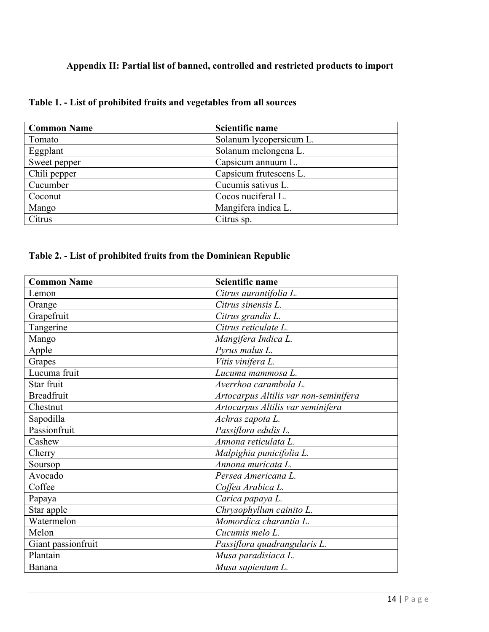## <span id="page-13-0"></span>**Appendix II: Partial list of banned, controlled and restricted products to import**

| <b>Common Name</b> | Scientific name         |
|--------------------|-------------------------|
| Tomato             | Solanum lycopersicum L. |
| Eggplant           | Solanum melongena L.    |
| Sweet pepper       | Capsicum annuum L.      |
| Chili pepper       | Capsicum frutescens L.  |
| Cucumber           | Cucumis sativus L.      |
| Coconut            | Cocos nuciferal L.      |
| Mango              | Mangifera indica L.     |
| Citrus             | Citrus sp.              |

## **Table 1. - List of prohibited fruits and vegetables from all sources**

## **Table 2. - List of prohibited fruits from the Dominican Republic**

| <b>Common Name</b> | <b>Scientific name</b>                |
|--------------------|---------------------------------------|
| Lemon              | Citrus aurantifolia L.                |
| Orange             | Citrus sinensis L.                    |
| Grapefruit         | Citrus grandis L.                     |
| Tangerine          | Citrus reticulate L.                  |
| Mango              | Mangifera Indica L.                   |
| Apple              | Pyrus malus L.                        |
| Grapes             | Vitis vinifera L.                     |
| Lucuma fruit       | Lucuma mammosa L.                     |
| Star fruit         | Averrhoa carambola L.                 |
| <b>Breadfruit</b>  | Artocarpus Altilis var non-seminifera |
| Chestnut           | Artocarpus Altilis var seminifera     |
| Sapodilla          | Achras zapota L.                      |
| Passionfruit       | Passiflora edulis L.                  |
| Cashew             | Annona reticulata L.                  |
| Cherry             | Malpighia punicifolia L.              |
| Soursop            | Annona muricata L.                    |
| Avocado            | Persea Americana L.                   |
| Coffee             | Coffea Arabica L.                     |
| Papaya             | Carica papaya L.                      |
| Star apple         | Chrysophyllum cainito L.              |
| Watermelon         | Momordica charantia L.                |
| Melon              | Cucumis melo L.                       |
| Giant passionfruit | Passiflora quadrangularis L.          |
| Plantain           | Musa paradisiaca L.                   |
| Banana             | Musa sapientum L.                     |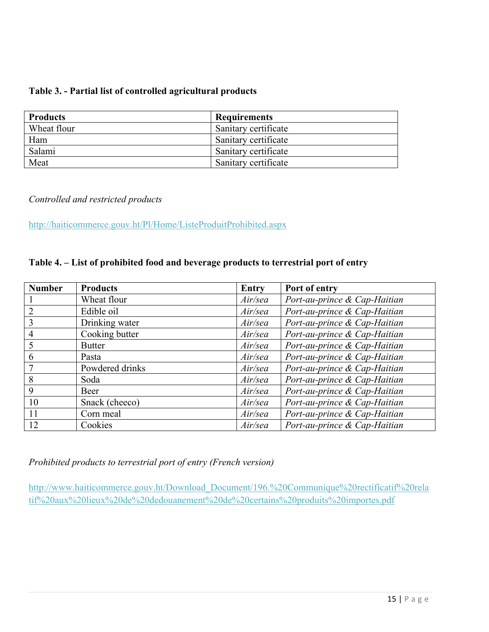#### **Table 3. - Partial list of controlled agricultural products**

| <b>Products</b> | <b>Requirements</b>  |
|-----------------|----------------------|
| Wheat flour     | Sanitary certificate |
| Ham             | Sanitary certificate |
| Salami          | Sanitary certificate |
| Meat            | Sanitary certificate |

#### *Controlled and restricted products*

<http://haiticommerce.gouv.ht/Pl/Home/ListeProduitProhibited.aspx>

### **Table 4. – List of prohibited food and beverage products to terrestrial port of entry**

| <b>Number</b> | <b>Products</b> | <b>Entry</b> | Port of entry                |
|---------------|-----------------|--------------|------------------------------|
|               | Wheat flour     | Air/sea      | Port-au-prince & Cap-Haitian |
| 2             | Edible oil      | Air/sea      | Port-au-prince & Cap-Haitian |
| 3             | Drinking water  | Air/sea      | Port-au-prince & Cap-Haitian |
| 4             | Cooking butter  | Air/sea      | Port-au-prince & Cap-Haitian |
|               | <b>Butter</b>   | Air/sea      | Port-au-prince & Cap-Haitian |
| 6             | Pasta           | Air/sea      | Port-au-prince & Cap-Haitian |
| 7             | Powdered drinks | Air/sea      | Port-au-prince & Cap-Haitian |
| 8             | Soda            | Air/sea      | Port-au-prince & Cap-Haitian |
| 9             | Beer            | Air/sea      | Port-au-prince & Cap-Haitian |
| 10            | Snack (cheeco)  | Air/sea      | Port-au-prince & Cap-Haitian |
| 11            | Corn meal       | Air/sea      | Port-au-prince & Cap-Haitian |
| 12            | Cookies         | Air/sea      | Port-au-prince & Cap-Haitian |

*Prohibited products to terrestrial port of entry (French version)*

[http://www.haiticommerce.gouv.ht/Download\\_Document/196.%20Communique%20rectificatif%20rela](http://www.haiticommerce.gouv.ht/Download_Document/196.%20Communique%20rectificatif%20relatif%20aux%20lieux%20de%20dedouanement%20de%20certains%20produits%20importes.pdf) [tif%20aux%20lieux%20de%20dedouanement%20de%20certains%20produits%20importes.pdf](http://www.haiticommerce.gouv.ht/Download_Document/196.%20Communique%20rectificatif%20relatif%20aux%20lieux%20de%20dedouanement%20de%20certains%20produits%20importes.pdf)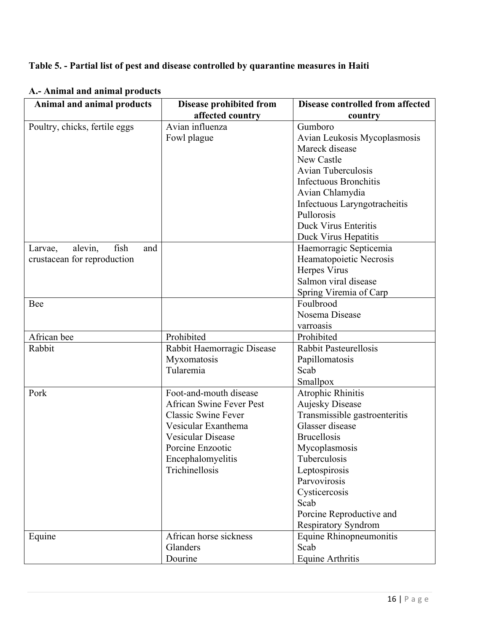## **Table 5. - Partial list of pest and disease controlled by quarantine measures in Haiti**

| Trummar and annual products<br>Animal and animal products | <b>Disease prohibited from</b>  | <b>Disease controlled from affected</b> |
|-----------------------------------------------------------|---------------------------------|-----------------------------------------|
|                                                           | affected country                | country                                 |
| Poultry, chicks, fertile eggs                             | Avian influenza                 | Gumboro                                 |
|                                                           | Fowl plague                     | Avian Leukosis Mycoplasmosis            |
|                                                           |                                 | Mareck disease                          |
|                                                           |                                 | New Castle                              |
|                                                           |                                 | Avian Tuberculosis                      |
|                                                           |                                 | <b>Infectuous Bronchitis</b>            |
|                                                           |                                 | Avian Chlamydia                         |
|                                                           |                                 | Infectuous Laryngotracheitis            |
|                                                           |                                 | Pullorosis                              |
|                                                           |                                 | Duck Virus Enteritis                    |
|                                                           |                                 | Duck Virus Hepatitis                    |
| alevin,<br>fish<br>and<br>Larvae,                         |                                 | Haemorragic Septicemia                  |
| crustacean for reproduction                               |                                 | Heamatopoietic Necrosis                 |
|                                                           |                                 | Herpes Virus                            |
|                                                           |                                 | Salmon viral disease                    |
|                                                           |                                 | Spring Viremia of Carp                  |
| Bee                                                       |                                 | Foulbrood                               |
|                                                           |                                 | Nosema Disease                          |
|                                                           |                                 | varroasis                               |
| African bee                                               | Prohibited                      | Prohibited                              |
| Rabbit                                                    | Rabbit Haemorragic Disease      | <b>Rabbit Pasteurellosis</b>            |
|                                                           | Myxomatosis                     | Papillomatosis                          |
|                                                           | Tularemia                       | Scab                                    |
|                                                           |                                 | Smallpox                                |
| Pork                                                      | Foot-and-mouth disease          | <b>Atrophic Rhinitis</b>                |
|                                                           | <b>African Swine Fever Pest</b> | <b>Aujesky Disease</b>                  |
|                                                           | <b>Classic Swine Fever</b>      | Transmissible gastroenteritis           |
|                                                           | Vesicular Exanthema             | Glasser disease                         |
|                                                           | Vesicular Disease               | <b>Brucellosis</b>                      |
|                                                           | Porcine Enzootic                | Mycoplasmosis                           |
|                                                           | Encephalomyelitis               | Tuberculosis                            |
|                                                           | Trichinellosis                  | Leptospirosis                           |
|                                                           |                                 | Parvovirosis                            |
|                                                           |                                 | Cysticercosis                           |
|                                                           |                                 | Scab                                    |
|                                                           |                                 | Porcine Reproductive and                |
|                                                           |                                 | Respiratory Syndrom                     |
| Equine                                                    | African horse sickness          | Equine Rhinopneumonitis                 |
|                                                           | Glanders                        | Scab                                    |
|                                                           | Dourine                         | Equine Arthritis                        |

**A.- Animal and animal products**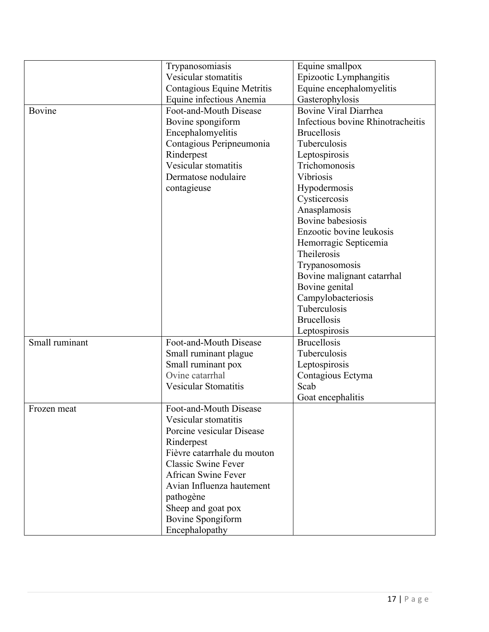|                             | Trypanosomiasis             | Equine smallpox                   |
|-----------------------------|-----------------------------|-----------------------------------|
|                             | Vesicular stomatitis        | Epizootic Lymphangitis            |
|                             | Contagious Equine Metritis  | Equine encephalomyelitis          |
|                             | Equine infectious Anemia    | Gasterophylosis                   |
| Bovine                      | Foot-and-Mouth Disease      | <b>Bovine Viral Diarrhea</b>      |
|                             | Bovine spongiform           | Infectious bovine Rhinotracheitis |
|                             | Encephalomyelitis           | <b>Brucellosis</b>                |
|                             | Contagious Peripneumonia    | Tuberculosis                      |
|                             | Rinderpest                  | Leptospirosis                     |
|                             | Vesicular stomatitis        | Trichomonosis                     |
|                             | Dermatose nodulaire         | Vibriosis                         |
|                             |                             |                                   |
|                             | contagieuse                 | Hypodermosis                      |
|                             |                             | Cysticercosis                     |
|                             |                             | Anasplamosis                      |
|                             |                             | Bovine babesiosis                 |
|                             |                             | Enzootic bovine leukosis          |
|                             |                             | Hemorragic Septicemia             |
|                             |                             | Theilerosis                       |
|                             |                             | Trypanosomosis                    |
|                             |                             | Bovine malignant catarrhal        |
|                             |                             | Bovine genital                    |
|                             |                             | Campylobacteriosis                |
|                             |                             | Tuberculosis                      |
|                             |                             | <b>Brucellosis</b>                |
|                             |                             | Leptospirosis                     |
| Small ruminant              | Foot-and-Mouth Disease      | <b>Brucellosis</b>                |
|                             | Small ruminant plague       | Tuberculosis                      |
|                             | Small ruminant pox          | Leptospirosis                     |
|                             | Ovine catarrhal             | Contagious Ectyma                 |
| <b>Vesicular Stomatitis</b> |                             | Scab                              |
|                             |                             | Goat encephalitis                 |
| Frozen meat                 | Foot-and-Mouth Disease      |                                   |
|                             | Vesicular stomatitis        |                                   |
|                             | Porcine vesicular Disease   |                                   |
|                             | Rinderpest                  |                                   |
|                             | Fièvre catarrhale du mouton |                                   |
|                             | <b>Classic Swine Fever</b>  |                                   |
|                             | African Swine Fever         |                                   |
|                             | Avian Influenza hautement   |                                   |
|                             | pathogène                   |                                   |
|                             | Sheep and goat pox          |                                   |
|                             | Bovine Spongiform           |                                   |
|                             | Encephalopathy              |                                   |
|                             |                             |                                   |